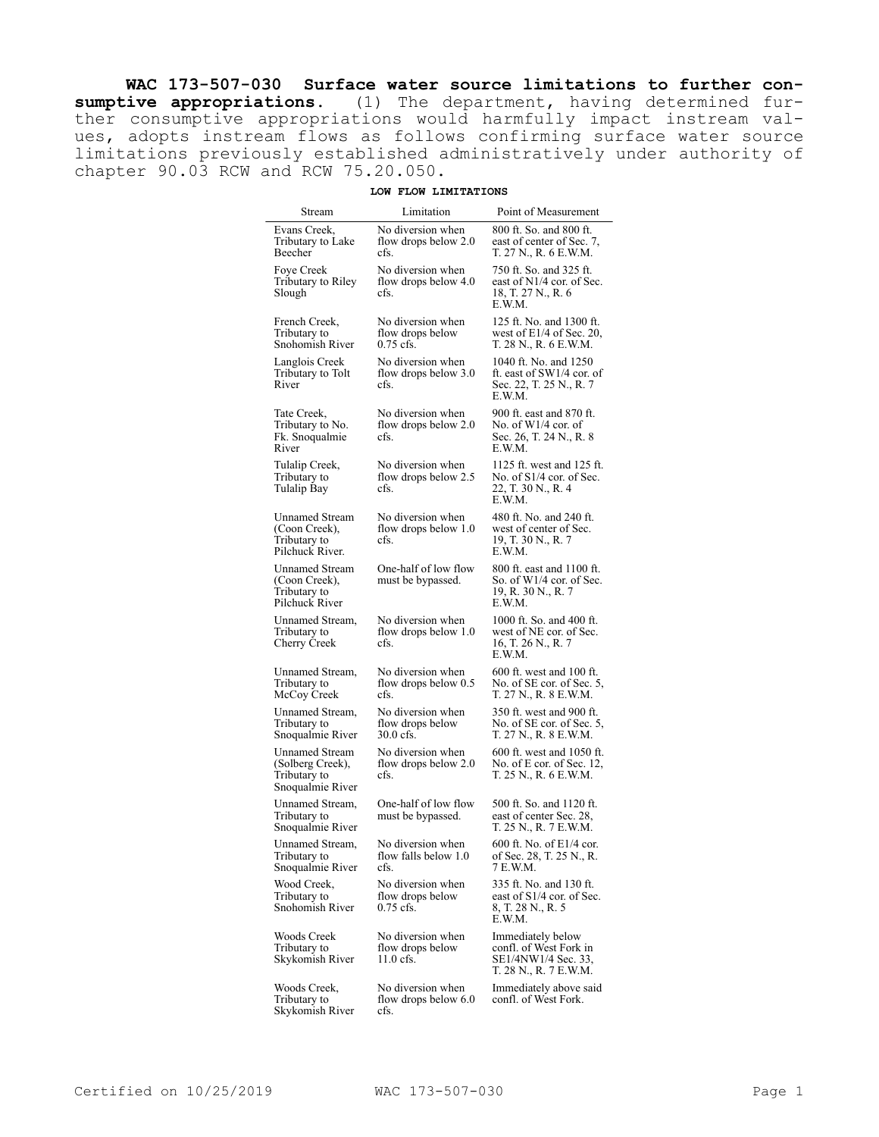**WAC 173-507-030 Surface water source limitations to further consumptive appropriations.** (1) The department, having determined further consumptive appropriations would harmfully impact instream values, adopts instream flows as follows confirming surface water source limitations previously established administratively under authority of chapter 90.03 RCW and RCW 75.20.050.

## **LOW FLOW LIMITATIONS**

| Stream                                                                    | Limitation                                           | Point of Measurement                                                                        |
|---------------------------------------------------------------------------|------------------------------------------------------|---------------------------------------------------------------------------------------------|
| Evans Creek.<br>Tributary to Lake<br>Beecher                              | No diversion when<br>flow drops below 2.0<br>cfs.    | 800 ft. So. and 800 ft.<br>east of center of Sec. 7,<br>T. 27 N., R. 6 E.W.M.               |
| Foye Creek<br>Tributary to Riley<br>Slough                                | No diversion when<br>flow drops below 4.0<br>cfs.    | 750 ft. So. and 325 ft.<br>east of N1/4 cor. of Sec.<br>18, T. 27 N., R. 6<br>E.W.M.        |
| French Creek,<br>Tributary to<br>Snohomish River                          | No diversion when<br>flow drops below<br>$0.75$ cfs. | 125 ft. No. and 1300 ft.<br>west of $E1/4$ of Sec. 20,<br>T. 28 N., R. 6 E.W.M.             |
| Langlois Creek<br>Tributary to Tolt<br>River                              | No diversion when<br>flow drops below 3.0<br>cfs.    | 1040 ft. No. and 1250<br>ft. east of SW1/4 cor. of<br>Sec. 22, T. 25 N., R. 7<br>E.W.M.     |
| Tate Creek,<br>Tributary to No.<br>Fk. Snoqualmie<br>River                | No diversion when<br>flow drops below 2.0<br>cfs.    | 900 ft. east and 870 ft.<br>No. of $W1/4$ cor. of<br>Sec. 26, T. 24 N., R. 8<br>E.W.M.      |
| Tulalip Creek,<br>Tributary to<br>Tulalip Bay                             | No diversion when<br>flow drops below 2.5<br>cfs.    | 1125 ft. west and 125 ft.<br>No. of S1/4 cor. of Sec.<br>22, T. 30 N., R. 4<br>E.W.M.       |
| <b>Unnamed Stream</b><br>(Coon Creek),<br>Tributary to<br>Pilchuck River. | No diversion when<br>flow drops below 1.0<br>cfs.    | 480 ft. No. and 240 ft.<br>west of center of Sec.<br>19, T. 30 N., R. 7<br>E.W.M.           |
| Unnamed Stream<br>(Coon Creek),<br>Tributary to<br>Pilchuck River         | One-half of low flow<br>must be bypassed.            | 800 ft. east and 1100 ft.<br>So. of W1/4 cor. of Sec.<br>19, R. 30 N., R. 7<br>E.W.M.       |
| Unnamed Stream,<br>Tributary to<br>Cherry Creek                           | No diversion when<br>flow drops below 1.0<br>cfs.    | 1000 ft. So. and 400 ft.<br>west of NE cor. of Sec.<br>16, T. 26 N., R. 7<br>E.W.M.         |
| Unnamed Stream,<br>Tributary to<br>McCoy Creek                            | No diversion when<br>flow drops below 0.5<br>cfs.    | 600 ft. west and 100 ft.<br>No. of SE cor. of Sec. 5,<br>T. 27 N., R. 8 E.W.M.              |
| Unnamed Stream,<br>Tributary to<br>Snoqualmie River                       | No diversion when<br>flow drops below<br>$30.0$ cfs. | 350 ft. west and 900 ft.<br>No. of SE cor. of Sec. 5,<br>T. 27 N., R. 8 E.W.M.              |
| Unnamed Stream<br>(Solberg Creek),<br>Tributary to<br>Snoqualmie River    | No diversion when<br>flow drops below 2.0<br>cfs.    | 600 ft. west and 1050 ft.<br>No. of E cor. of Sec. 12,<br>T. 25 N., R. 6 E.W.M.             |
| Unnamed Stream,<br>Tributary to<br>Snoqualmie River                       | One-half of low flow<br>must be bypassed.            | 500 ft. So. and 1120 ft.<br>east of center Sec. 28,<br>T. 25 N., R. 7 E.W.M.                |
| Unnamed Stream,<br>Tributary to<br>Snoqualmie River                       | No diversion when<br>flow falls below 1.0<br>cfs.    | 600 ft. No. of E1/4 cor.<br>of Sec. 28, T. 25 N., R.<br>7 E.W.M.                            |
| Wood Creek,<br>Tributary to<br>Snohomish River                            | No diversion when<br>flow drops below<br>$0.75$ cfs. | 335 ft. No. and 130 ft.<br>east of S1/4 cor. of Sec.<br>8, T. 28 N., R. 5<br>E.W.M.         |
| Woods Creek<br>Tributary to<br>Skykomish River                            | No diversion when<br>flow drops below<br>$11.0$ cfs. | Immediately below<br>confl. of West Fork in<br>SE1/4NW1/4 Sec. 33,<br>T. 28 N., R. 7 E.W.M. |
| Woods Creek,<br>Tributary to<br>Skykomish River                           | No diversion when<br>flow drops below 6.0<br>cfs.    | Immediately above said<br>confl. of West Fork.                                              |